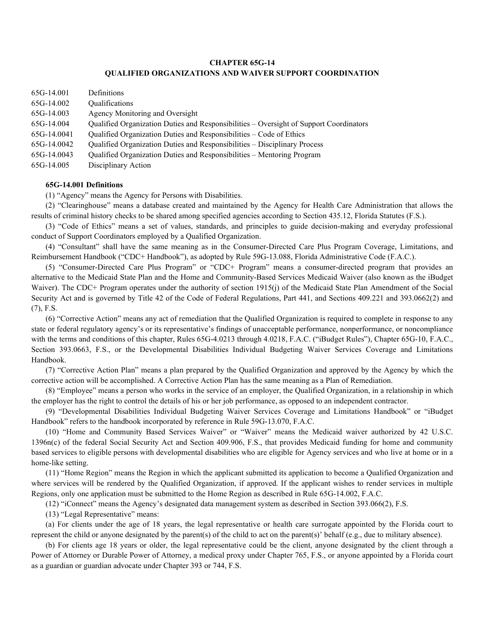# CHAPTER 65G-14 QUALIFIED ORGANIZATIONS AND WAIVER SUPPORT COORDINATION

| 65G-14.001  | Definitions                                                                            |
|-------------|----------------------------------------------------------------------------------------|
| 65G-14.002  | Qualifications                                                                         |
| 65G-14.003  | Agency Monitoring and Oversight                                                        |
| 65G-14.004  | Qualified Organization Duties and Responsibilities – Oversight of Support Coordinators |
| 65G-14.0041 | Qualified Organization Duties and Responsibilities – Code of Ethics                    |
| 65G-14.0042 | Qualified Organization Duties and Responsibilities - Disciplinary Process              |
| 65G-14.0043 | Qualified Organization Duties and Responsibilities - Mentoring Program                 |
| 65G-14.005  | Disciplinary Action                                                                    |

### 65G-14.001 Definitions

(1) "Agency" means the Agency for Persons with Disabilities.

(2) "Clearinghouse" means a database created and maintained by the Agency for Health Care Administration that allows the results of criminal history checks to be shared among specified agencies according to Section 435.12, Florida Statutes (F.S.).

(3) "Code of Ethics" means a set of values, standards, and principles to guide decision-making and everyday professional conduct of Support Coordinators employed by a Qualified Organization.

(4) "Consultant" shall have the same meaning as in the Consumer-Directed Care Plus Program Coverage, Limitations, and Reimbursement Handbook ("CDC+ Handbook"), as adopted by Rule 59G-13.088, Florida Administrative Code (F.A.C.).

(5) "Consumer-Directed Care Plus Program" or "CDC+ Program" means a consumer-directed program that provides an alternative to the Medicaid State Plan and the Home and Community-Based Services Medicaid Waiver (also known as the iBudget Waiver). The CDC+ Program operates under the authority of section 1915(j) of the Medicaid State Plan Amendment of the Social Security Act and is governed by Title 42 of the Code of Federal Regulations, Part 441, and Sections 409.221 and 393.0662(2) and (7), F.S.

(6) "Corrective Action" means any act of remediation that the Qualified Organization is required to complete in response to any state or federal regulatory agency's or its representative's findings of unacceptable performance, nonperformance, or noncompliance with the terms and conditions of this chapter, Rules 65G-4.0213 through 4.0218, F.A.C. ("iBudget Rules"), Chapter 65G-10, F.A.C., Section 393.0663, F.S., or the Developmental Disabilities Individual Budgeting Waiver Services Coverage and Limitations Handbook.

(7) "Corrective Action Plan" means a plan prepared by the Qualified Organization and approved by the Agency by which the corrective action will be accomplished. A Corrective Action Plan has the same meaning as a Plan of Remediation.

(8) "Employee" means a person who works in the service of an employer, the Qualified Organization, in a relationship in which the employer has the right to control the details of his or her job performance, as opposed to an independent contractor.

(9) "Developmental Disabilities Individual Budgeting Waiver Services Coverage and Limitations Handbook" or "iBudget Handbook" refers to the handbook incorporated by reference in Rule 59G-13.070, F.A.C.

(10) "Home and Community Based Services Waiver" or "Waiver" means the Medicaid waiver authorized by 42 U.S.C. 1396n(c) of the federal Social Security Act and Section 409.906, F.S., that provides Medicaid funding for home and community based services to eligible persons with developmental disabilities who are eligible for Agency services and who live at home or in a home-like setting.

(11) "Home Region" means the Region in which the applicant submitted its application to become a Qualified Organization and where services will be rendered by the Qualified Organization, if approved. If the applicant wishes to render services in multiple Regions, only one application must be submitted to the Home Region as described in Rule 65G-14.002, F.A.C.

(12) "iConnect" means the Agency's designated data management system as described in Section 393.066(2), F.S.

(13) "Legal Representative" means:

(a) For clients under the age of 18 years, the legal representative or health care surrogate appointed by the Florida court to represent the child or anyone designated by the parent(s) of the child to act on the parent(s)' behalf (e.g., due to military absence).

(b) For clients age 18 years or older, the legal representative could be the client, anyone designated by the client through a Power of Attorney or Durable Power of Attorney, a medical proxy under Chapter 765, F.S., or anyone appointed by a Florida court as a guardian or guardian advocate under Chapter 393 or 744, F.S.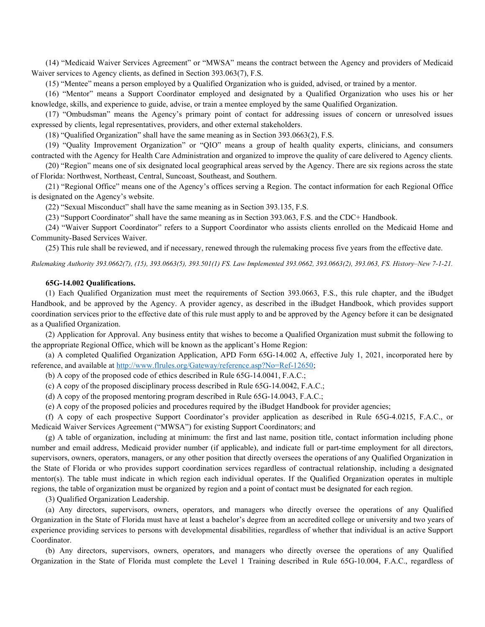(14) "Medicaid Waiver Services Agreement" or "MWSA" means the contract between the Agency and providers of Medicaid Waiver services to Agency clients, as defined in Section 393.063(7), F.S.

(15) "Mentee" means a person employed by a Qualified Organization who is guided, advised, or trained by a mentor.

(16) "Mentor" means a Support Coordinator employed and designated by a Qualified Organization who uses his or her knowledge, skills, and experience to guide, advise, or train a mentee employed by the same Qualified Organization.

(17) "Ombudsman" means the Agency's primary point of contact for addressing issues of concern or unresolved issues expressed by clients, legal representatives, providers, and other external stakeholders.

(18) "Qualified Organization" shall have the same meaning as in Section 393.0663(2), F.S.

(19) "Quality Improvement Organization" or "QIO" means a group of health quality experts, clinicians, and consumers contracted with the Agency for Health Care Administration and organized to improve the quality of care delivered to Agency clients.

(20) "Region" means one of six designated local geographical areas served by the Agency. There are six regions across the state of Florida: Northwest, Northeast, Central, Suncoast, Southeast, and Southern.

(21) "Regional Office" means one of the Agency's offices serving a Region. The contact information for each Regional Office is designated on the Agency's website.

(22) "Sexual Misconduct" shall have the same meaning as in Section 393.135, F.S.

(23) "Support Coordinator" shall have the same meaning as in Section 393.063, F.S. and the CDC+ Handbook.

(24) "Waiver Support Coordinator" refers to a Support Coordinator who assists clients enrolled on the Medicaid Home and Community-Based Services Waiver.

(25) This rule shall be reviewed, and if necessary, renewed through the rulemaking process five years from the effective date.

Rulemaking Authority 393.0662(7), (15), 393.0663(5), 393.501(1) FS. Law Implemented 393.0662, 393.0663(2), 393.063, FS. History–New 7-1-21.

#### 65G-14.002 Qualifications.

(1) Each Qualified Organization must meet the requirements of Section 393.0663, F.S., this rule chapter, and the iBudget Handbook, and be approved by the Agency. A provider agency, as described in the iBudget Handbook, which provides support coordination services prior to the effective date of this rule must apply to and be approved by the Agency before it can be designated as a Qualified Organization.

(2) Application for Approval. Any business entity that wishes to become a Qualified Organization must submit the following to the appropriate Regional Office, which will be known as the applicant's Home Region:

(a) A completed Qualified Organization Application, APD Form 65G-14.002 A, effective July 1, 2021, incorporated here by reference, and available at http://www.flrules.org/Gateway/reference.asp?No=Ref-12650;

(b) A copy of the proposed code of ethics described in Rule 65G-14.0041, F.A.C.;

(c) A copy of the proposed disciplinary process described in Rule 65G-14.0042, F.A.C.;

(d) A copy of the proposed mentoring program described in Rule 65G-14.0043, F.A.C.;

(e) A copy of the proposed policies and procedures required by the iBudget Handbook for provider agencies;

(f) A copy of each prospective Support Coordinator's provider application as described in Rule 65G-4.0215, F.A.C., or Medicaid Waiver Services Agreement ("MWSA") for existing Support Coordinators; and

(g) A table of organization, including at minimum: the first and last name, position title, contact information including phone number and email address, Medicaid provider number (if applicable), and indicate full or part-time employment for all directors, supervisors, owners, operators, managers, or any other position that directly oversees the operations of any Qualified Organization in the State of Florida or who provides support coordination services regardless of contractual relationship, including a designated mentor(s). The table must indicate in which region each individual operates. If the Qualified Organization operates in multiple regions, the table of organization must be organized by region and a point of contact must be designated for each region.

(3) Qualified Organization Leadership.

(a) Any directors, supervisors, owners, operators, and managers who directly oversee the operations of any Qualified Organization in the State of Florida must have at least a bachelor's degree from an accredited college or university and two years of experience providing services to persons with developmental disabilities, regardless of whether that individual is an active Support Coordinator.

(b) Any directors, supervisors, owners, operators, and managers who directly oversee the operations of any Qualified Organization in the State of Florida must complete the Level 1 Training described in Rule 65G-10.004, F.A.C., regardless of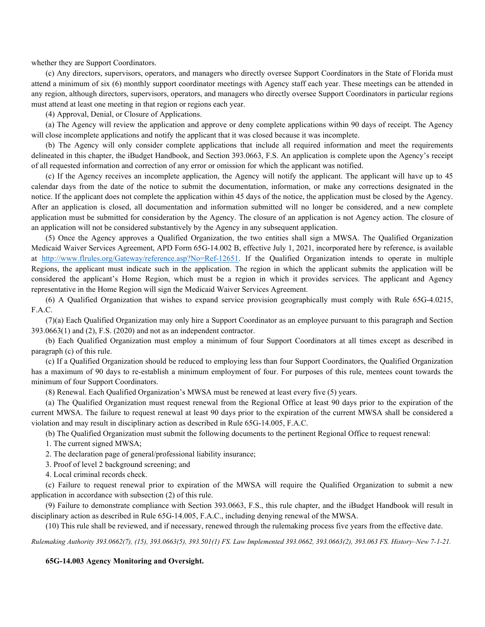whether they are Support Coordinators.

(c) Any directors, supervisors, operators, and managers who directly oversee Support Coordinators in the State of Florida must attend a minimum of six (6) monthly support coordinator meetings with Agency staff each year. These meetings can be attended in any region, although directors, supervisors, operators, and managers who directly oversee Support Coordinators in particular regions must attend at least one meeting in that region or regions each year.

(4) Approval, Denial, or Closure of Applications.

(a) The Agency will review the application and approve or deny complete applications within 90 days of receipt. The Agency will close incomplete applications and notify the applicant that it was closed because it was incomplete.

(b) The Agency will only consider complete applications that include all required information and meet the requirements delineated in this chapter, the iBudget Handbook, and Section 393.0663, F.S. An application is complete upon the Agency's receipt of all requested information and correction of any error or omission for which the applicant was notified.

(c) If the Agency receives an incomplete application, the Agency will notify the applicant. The applicant will have up to 45 calendar days from the date of the notice to submit the documentation, information, or make any corrections designated in the notice. If the applicant does not complete the application within 45 days of the notice, the application must be closed by the Agency. After an application is closed, all documentation and information submitted will no longer be considered, and a new complete application must be submitted for consideration by the Agency. The closure of an application is not Agency action. The closure of an application will not be considered substantively by the Agency in any subsequent application.

(5) Once the Agency approves a Qualified Organization, the two entities shall sign a MWSA. The Qualified Organization Medicaid Waiver Services Agreement, APD Form 65G-14.002 B, effective July 1, 2021, incorporated here by reference, is available at http://www.flrules.org/Gateway/reference.asp?No=Ref-12651. If the Qualified Organization intends to operate in multiple Regions, the applicant must indicate such in the application. The region in which the applicant submits the application will be considered the applicant's Home Region, which must be a region in which it provides services. The applicant and Agency representative in the Home Region will sign the Medicaid Waiver Services Agreement.

(6) A Qualified Organization that wishes to expand service provision geographically must comply with Rule 65G-4.0215, F.A.C.

(7)(a) Each Qualified Organization may only hire a Support Coordinator as an employee pursuant to this paragraph and Section 393.0663(1) and (2), F.S. (2020) and not as an independent contractor.

(b) Each Qualified Organization must employ a minimum of four Support Coordinators at all times except as described in paragraph (c) of this rule.

(c) If a Qualified Organization should be reduced to employing less than four Support Coordinators, the Qualified Organization has a maximum of 90 days to re-establish a minimum employment of four. For purposes of this rule, mentees count towards the minimum of four Support Coordinators.

(8) Renewal. Each Qualified Organization's MWSA must be renewed at least every five (5) years.

(a) The Qualified Organization must request renewal from the Regional Office at least 90 days prior to the expiration of the current MWSA. The failure to request renewal at least 90 days prior to the expiration of the current MWSA shall be considered a violation and may result in disciplinary action as described in Rule 65G-14.005, F.A.C.

(b) The Qualified Organization must submit the following documents to the pertinent Regional Office to request renewal:

1. The current signed MWSA;

2. The declaration page of general/professional liability insurance;

3. Proof of level 2 background screening; and

4. Local criminal records check.

(c) Failure to request renewal prior to expiration of the MWSA will require the Qualified Organization to submit a new application in accordance with subsection (2) of this rule.

(9) Failure to demonstrate compliance with Section 393.0663, F.S., this rule chapter, and the iBudget Handbook will result in disciplinary action as described in Rule 65G-14.005, F.A.C., including denying renewal of the MWSA.

(10) This rule shall be reviewed, and if necessary, renewed through the rulemaking process five years from the effective date.

Rulemaking Authority 393.0662(7), (15), 393.0663(5), 393.501(1) FS. Law Implemented 393.0662, 393.0663(2), 393.063 FS. History–New 7-1-21.

## 65G-14.003 Agency Monitoring and Oversight.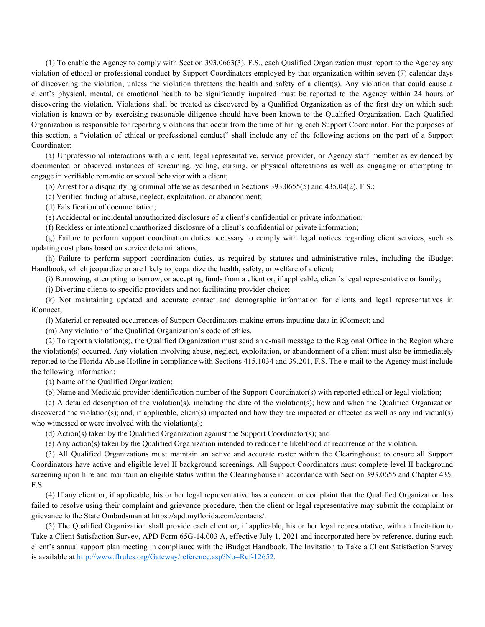(1) To enable the Agency to comply with Section 393.0663(3), F.S., each Qualified Organization must report to the Agency any violation of ethical or professional conduct by Support Coordinators employed by that organization within seven (7) calendar days of discovering the violation, unless the violation threatens the health and safety of a client(s). Any violation that could cause a client's physical, mental, or emotional health to be significantly impaired must be reported to the Agency within 24 hours of discovering the violation. Violations shall be treated as discovered by a Qualified Organization as of the first day on which such violation is known or by exercising reasonable diligence should have been known to the Qualified Organization. Each Qualified Organization is responsible for reporting violations that occur from the time of hiring each Support Coordinator. For the purposes of this section, a "violation of ethical or professional conduct" shall include any of the following actions on the part of a Support Coordinator:

(a) Unprofessional interactions with a client, legal representative, service provider, or Agency staff member as evidenced by documented or observed instances of screaming, yelling, cursing, or physical altercations as well as engaging or attempting to engage in verifiable romantic or sexual behavior with a client;

(b) Arrest for a disqualifying criminal offense as described in Sections 393.0655(5) and 435.04(2), F.S.;

(c) Verified finding of abuse, neglect, exploitation, or abandonment;

(d) Falsification of documentation;

(e) Accidental or incidental unauthorized disclosure of a client's confidential or private information;

(f) Reckless or intentional unauthorized disclosure of a client's confidential or private information;

(g) Failure to perform support coordination duties necessary to comply with legal notices regarding client services, such as updating cost plans based on service determinations;

(h) Failure to perform support coordination duties, as required by statutes and administrative rules, including the iBudget Handbook, which jeopardize or are likely to jeopardize the health, safety, or welfare of a client;

(i) Borrowing, attempting to borrow, or accepting funds from a client or, if applicable, client's legal representative or family;

(j) Diverting clients to specific providers and not facilitating provider choice;

(k) Not maintaining updated and accurate contact and demographic information for clients and legal representatives in iConnect;

(l) Material or repeated occurrences of Support Coordinators making errors inputting data in iConnect; and

(m) Any violation of the Qualified Organization's code of ethics.

(2) To report a violation(s), the Qualified Organization must send an e-mail message to the Regional Office in the Region where the violation(s) occurred. Any violation involving abuse, neglect, exploitation, or abandonment of a client must also be immediately reported to the Florida Abuse Hotline in compliance with Sections 415.1034 and 39.201, F.S. The e-mail to the Agency must include the following information:

(a) Name of the Qualified Organization;

(b) Name and Medicaid provider identification number of the Support Coordinator(s) with reported ethical or legal violation;

(c) A detailed description of the violation(s), including the date of the violation(s); how and when the Qualified Organization discovered the violation(s); and, if applicable, client(s) impacted and how they are impacted or affected as well as any individual(s) who witnessed or were involved with the violation(s);

(d) Action(s) taken by the Qualified Organization against the Support Coordinator(s); and

(e) Any action(s) taken by the Qualified Organization intended to reduce the likelihood of recurrence of the violation.

(3) All Qualified Organizations must maintain an active and accurate roster within the Clearinghouse to ensure all Support Coordinators have active and eligible level II background screenings. All Support Coordinators must complete level II background screening upon hire and maintain an eligible status within the Clearinghouse in accordance with Section 393.0655 and Chapter 435, F.S.

(4) If any client or, if applicable, his or her legal representative has a concern or complaint that the Qualified Organization has failed to resolve using their complaint and grievance procedure, then the client or legal representative may submit the complaint or grievance to the State Ombudsman at https://apd.myflorida.com/contacts/.

(5) The Qualified Organization shall provide each client or, if applicable, his or her legal representative, with an Invitation to Take a Client Satisfaction Survey, APD Form 65G-14.003 A, effective July 1, 2021 and incorporated here by reference, during each client's annual support plan meeting in compliance with the iBudget Handbook. The Invitation to Take a Client Satisfaction Survey is available at http://www.flrules.org/Gateway/reference.asp?No=Ref-12652.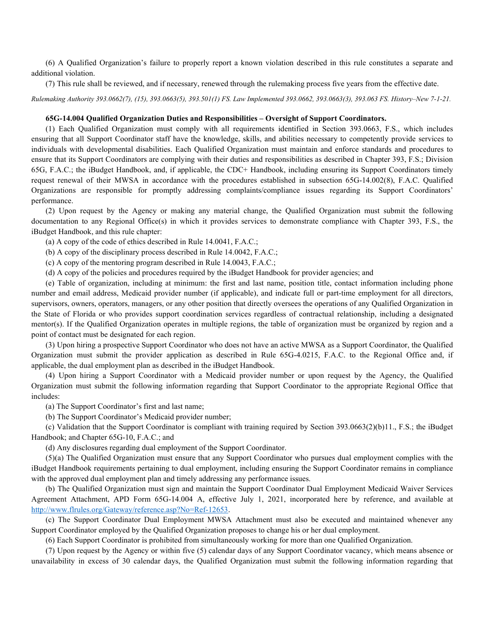(6) A Qualified Organization's failure to properly report a known violation described in this rule constitutes a separate and additional violation.

(7) This rule shall be reviewed, and if necessary, renewed through the rulemaking process five years from the effective date.

Rulemaking Authority 393.0662(7), (15), 393.0663(5), 393.501(1) FS. Law Implemented 393.0662, 393.0663(3), 393.063 FS. History–New 7-1-21.

#### 65G-14.004 Qualified Organization Duties and Responsibilities – Oversight of Support Coordinators.

(1) Each Qualified Organization must comply with all requirements identified in Section 393.0663, F.S., which includes ensuring that all Support Coordinator staff have the knowledge, skills, and abilities necessary to competently provide services to individuals with developmental disabilities. Each Qualified Organization must maintain and enforce standards and procedures to ensure that its Support Coordinators are complying with their duties and responsibilities as described in Chapter 393, F.S.; Division 65G, F.A.C.; the iBudget Handbook, and, if applicable, the CDC+ Handbook, including ensuring its Support Coordinators timely request renewal of their MWSA in accordance with the procedures established in subsection 65G-14.002(8), F.A.C. Qualified Organizations are responsible for promptly addressing complaints/compliance issues regarding its Support Coordinators' performance.

(2) Upon request by the Agency or making any material change, the Qualified Organization must submit the following documentation to any Regional Office(s) in which it provides services to demonstrate compliance with Chapter 393, F.S., the iBudget Handbook, and this rule chapter:

(a) A copy of the code of ethics described in Rule 14.0041, F.A.C.;

(b) A copy of the disciplinary process described in Rule 14.0042, F.A.C.;

(c) A copy of the mentoring program described in Rule 14.0043, F.A.C.;

(d) A copy of the policies and procedures required by the iBudget Handbook for provider agencies; and

(e) Table of organization, including at minimum: the first and last name, position title, contact information including phone number and email address, Medicaid provider number (if applicable), and indicate full or part-time employment for all directors, supervisors, owners, operators, managers, or any other position that directly oversees the operations of any Qualified Organization in the State of Florida or who provides support coordination services regardless of contractual relationship, including a designated mentor(s). If the Qualified Organization operates in multiple regions, the table of organization must be organized by region and a point of contact must be designated for each region.

(3) Upon hiring a prospective Support Coordinator who does not have an active MWSA as a Support Coordinator, the Qualified Organization must submit the provider application as described in Rule 65G-4.0215, F.A.C. to the Regional Office and, if applicable, the dual employment plan as described in the iBudget Handbook.

(4) Upon hiring a Support Coordinator with a Medicaid provider number or upon request by the Agency, the Qualified Organization must submit the following information regarding that Support Coordinator to the appropriate Regional Office that includes:

(a) The Support Coordinator's first and last name;

(b) The Support Coordinator's Medicaid provider number;

(c) Validation that the Support Coordinator is compliant with training required by Section 393.0663(2)(b)11., F.S.; the iBudget Handbook; and Chapter 65G-10, F.A.C.; and

(d) Any disclosures regarding dual employment of the Support Coordinator.

(5)(a) The Qualified Organization must ensure that any Support Coordinator who pursues dual employment complies with the iBudget Handbook requirements pertaining to dual employment, including ensuring the Support Coordinator remains in compliance with the approved dual employment plan and timely addressing any performance issues.

(b) The Qualified Organization must sign and maintain the Support Coordinator Dual Employment Medicaid Waiver Services Agreement Attachment, APD Form 65G-14.004 A, effective July 1, 2021, incorporated here by reference, and available at http://www.flrules.org/Gateway/reference.asp?No=Ref-12653.

(c) The Support Coordinator Dual Employment MWSA Attachment must also be executed and maintained whenever any Support Coordinator employed by the Qualified Organization proposes to change his or her dual employment.

(6) Each Support Coordinator is prohibited from simultaneously working for more than one Qualified Organization.

(7) Upon request by the Agency or within five (5) calendar days of any Support Coordinator vacancy, which means absence or unavailability in excess of 30 calendar days, the Qualified Organization must submit the following information regarding that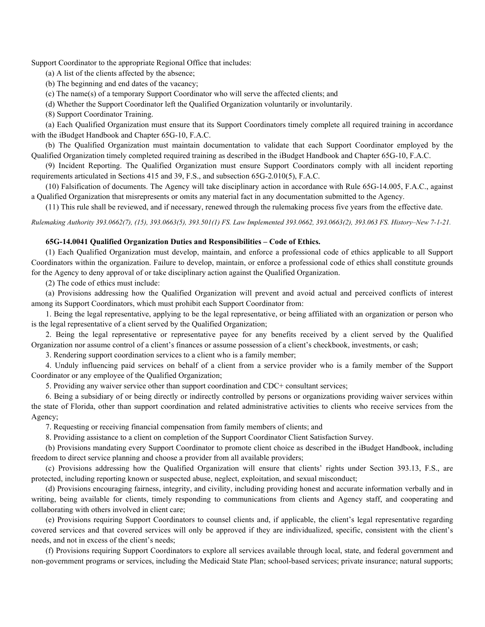Support Coordinator to the appropriate Regional Office that includes:

(a) A list of the clients affected by the absence;

(b) The beginning and end dates of the vacancy;

(c) The name(s) of a temporary Support Coordinator who will serve the affected clients; and

(d) Whether the Support Coordinator left the Qualified Organization voluntarily or involuntarily.

(8) Support Coordinator Training.

(a) Each Qualified Organization must ensure that its Support Coordinators timely complete all required training in accordance with the iBudget Handbook and Chapter 65G-10, F.A.C.

(b) The Qualified Organization must maintain documentation to validate that each Support Coordinator employed by the Qualified Organization timely completed required training as described in the iBudget Handbook and Chapter 65G-10, F.A.C.

(9) Incident Reporting. The Qualified Organization must ensure Support Coordinators comply with all incident reporting requirements articulated in Sections 415 and 39, F.S., and subsection 65G-2.010(5), F.A.C.

(10) Falsification of documents. The Agency will take disciplinary action in accordance with Rule 65G-14.005, F.A.C., against a Qualified Organization that misrepresents or omits any material fact in any documentation submitted to the Agency.

(11) This rule shall be reviewed, and if necessary, renewed through the rulemaking process five years from the effective date.

Rulemaking Authority 393.0662(7), (15), 393.0663(5), 393.501(1) FS. Law Implemented 393.0662, 393.0663(2), 393.063 FS. History–New 7-1-21.

### 65G-14.0041 Qualified Organization Duties and Responsibilities – Code of Ethics.

(1) Each Qualified Organization must develop, maintain, and enforce a professional code of ethics applicable to all Support Coordinators within the organization. Failure to develop, maintain, or enforce a professional code of ethics shall constitute grounds for the Agency to deny approval of or take disciplinary action against the Qualified Organization.

(2) The code of ethics must include:

(a) Provisions addressing how the Qualified Organization will prevent and avoid actual and perceived conflicts of interest among its Support Coordinators, which must prohibit each Support Coordinator from:

1. Being the legal representative, applying to be the legal representative, or being affiliated with an organization or person who is the legal representative of a client served by the Qualified Organization;

2. Being the legal representative or representative payee for any benefits received by a client served by the Qualified Organization nor assume control of a client's finances or assume possession of a client's checkbook, investments, or cash;

3. Rendering support coordination services to a client who is a family member;

4. Unduly influencing paid services on behalf of a client from a service provider who is a family member of the Support Coordinator or any employee of the Qualified Organization;

5. Providing any waiver service other than support coordination and CDC+ consultant services;

6. Being a subsidiary of or being directly or indirectly controlled by persons or organizations providing waiver services within the state of Florida, other than support coordination and related administrative activities to clients who receive services from the Agency;

7. Requesting or receiving financial compensation from family members of clients; and

8. Providing assistance to a client on completion of the Support Coordinator Client Satisfaction Survey.

(b) Provisions mandating every Support Coordinator to promote client choice as described in the iBudget Handbook, including freedom to direct service planning and choose a provider from all available providers;

(c) Provisions addressing how the Qualified Organization will ensure that clients' rights under Section 393.13, F.S., are protected, including reporting known or suspected abuse, neglect, exploitation, and sexual misconduct;

(d) Provisions encouraging fairness, integrity, and civility, including providing honest and accurate information verbally and in writing, being available for clients, timely responding to communications from clients and Agency staff, and cooperating and collaborating with others involved in client care;

(e) Provisions requiring Support Coordinators to counsel clients and, if applicable, the client's legal representative regarding covered services and that covered services will only be approved if they are individualized, specific, consistent with the client's needs, and not in excess of the client's needs;

(f) Provisions requiring Support Coordinators to explore all services available through local, state, and federal government and non-government programs or services, including the Medicaid State Plan; school-based services; private insurance; natural supports;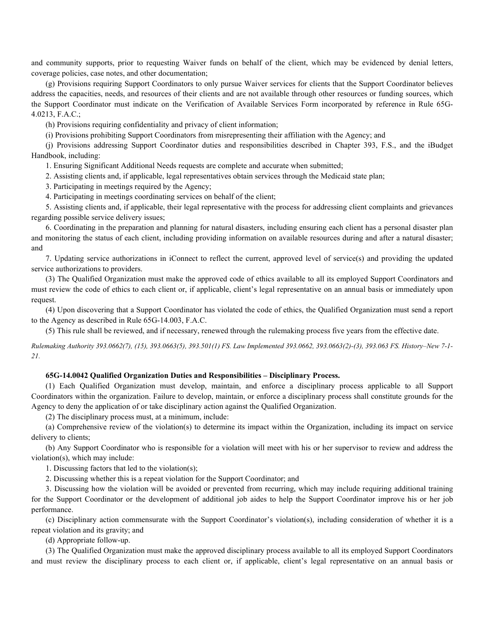and community supports, prior to requesting Waiver funds on behalf of the client, which may be evidenced by denial letters, coverage policies, case notes, and other documentation;

(g) Provisions requiring Support Coordinators to only pursue Waiver services for clients that the Support Coordinator believes address the capacities, needs, and resources of their clients and are not available through other resources or funding sources, which the Support Coordinator must indicate on the Verification of Available Services Form incorporated by reference in Rule 65G-4.0213, F.A.C.;

(h) Provisions requiring confidentiality and privacy of client information;

(i) Provisions prohibiting Support Coordinators from misrepresenting their affiliation with the Agency; and

(j) Provisions addressing Support Coordinator duties and responsibilities described in Chapter 393, F.S., and the iBudget Handbook, including:

1. Ensuring Significant Additional Needs requests are complete and accurate when submitted;

2. Assisting clients and, if applicable, legal representatives obtain services through the Medicaid state plan;

3. Participating in meetings required by the Agency;

4. Participating in meetings coordinating services on behalf of the client;

5. Assisting clients and, if applicable, their legal representative with the process for addressing client complaints and grievances regarding possible service delivery issues;

6. Coordinating in the preparation and planning for natural disasters, including ensuring each client has a personal disaster plan and monitoring the status of each client, including providing information on available resources during and after a natural disaster; and

7. Updating service authorizations in iConnect to reflect the current, approved level of service(s) and providing the updated service authorizations to providers.

(3) The Qualified Organization must make the approved code of ethics available to all its employed Support Coordinators and must review the code of ethics to each client or, if applicable, client's legal representative on an annual basis or immediately upon request.

(4) Upon discovering that a Support Coordinator has violated the code of ethics, the Qualified Organization must send a report to the Agency as described in Rule 65G-14.003, F.A.C.

(5) This rule shall be reviewed, and if necessary, renewed through the rulemaking process five years from the effective date.

Rulemaking Authority 393.0662(7), (15), 393.0663(5), 393.501(1) FS. Law Implemented 393.0662, 393.0663(2)-(3), 393.063 FS. History–New 7-1- 21.

## 65G-14.0042 Qualified Organization Duties and Responsibilities – Disciplinary Process.

(1) Each Qualified Organization must develop, maintain, and enforce a disciplinary process applicable to all Support Coordinators within the organization. Failure to develop, maintain, or enforce a disciplinary process shall constitute grounds for the Agency to deny the application of or take disciplinary action against the Qualified Organization.

(2) The disciplinary process must, at a minimum, include:

(a) Comprehensive review of the violation(s) to determine its impact within the Organization, including its impact on service delivery to clients;

(b) Any Support Coordinator who is responsible for a violation will meet with his or her supervisor to review and address the violation(s), which may include:

1. Discussing factors that led to the violation(s);

2. Discussing whether this is a repeat violation for the Support Coordinator; and

3. Discussing how the violation will be avoided or prevented from recurring, which may include requiring additional training for the Support Coordinator or the development of additional job aides to help the Support Coordinator improve his or her job performance.

(c) Disciplinary action commensurate with the Support Coordinator's violation(s), including consideration of whether it is a repeat violation and its gravity; and

(d) Appropriate follow-up.

(3) The Qualified Organization must make the approved disciplinary process available to all its employed Support Coordinators and must review the disciplinary process to each client or, if applicable, client's legal representative on an annual basis or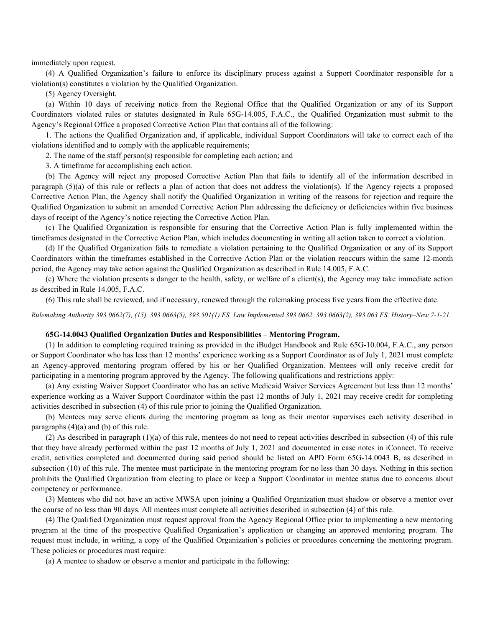immediately upon request.

(4) A Qualified Organization's failure to enforce its disciplinary process against a Support Coordinator responsible for a violation(s) constitutes a violation by the Qualified Organization.

(5) Agency Oversight.

(a) Within 10 days of receiving notice from the Regional Office that the Qualified Organization or any of its Support Coordinators violated rules or statutes designated in Rule 65G-14.005, F.A.C., the Qualified Organization must submit to the Agency's Regional Office a proposed Corrective Action Plan that contains all of the following:

1. The actions the Qualified Organization and, if applicable, individual Support Coordinators will take to correct each of the violations identified and to comply with the applicable requirements;

2. The name of the staff person(s) responsible for completing each action; and

3. A timeframe for accomplishing each action.

(b) The Agency will reject any proposed Corrective Action Plan that fails to identify all of the information described in paragraph (5)(a) of this rule or reflects a plan of action that does not address the violation(s). If the Agency rejects a proposed Corrective Action Plan, the Agency shall notify the Qualified Organization in writing of the reasons for rejection and require the Qualified Organization to submit an amended Corrective Action Plan addressing the deficiency or deficiencies within five business days of receipt of the Agency's notice rejecting the Corrective Action Plan.

(c) The Qualified Organization is responsible for ensuring that the Corrective Action Plan is fully implemented within the timeframes designated in the Corrective Action Plan, which includes documenting in writing all action taken to correct a violation.

(d) If the Qualified Organization fails to remediate a violation pertaining to the Qualified Organization or any of its Support Coordinators within the timeframes established in the Corrective Action Plan or the violation reoccurs within the same 12-month period, the Agency may take action against the Qualified Organization as described in Rule 14.005, F.A.C.

(e) Where the violation presents a danger to the health, safety, or welfare of a client(s), the Agency may take immediate action as described in Rule 14.005, F.A.C.

(6) This rule shall be reviewed, and if necessary, renewed through the rulemaking process five years from the effective date.

Rulemaking Authority 393.0662(7), (15), 393.0663(5), 393.501(1) FS. Law Implemented 393.0662, 393.0663(2), 393.063 FS. History–New 7-1-21.

## 65G-14.0043 Qualified Organization Duties and Responsibilities – Mentoring Program.

(1) In addition to completing required training as provided in the iBudget Handbook and Rule 65G-10.004, F.A.C., any person or Support Coordinator who has less than 12 months' experience working as a Support Coordinator as of July 1, 2021 must complete an Agency-approved mentoring program offered by his or her Qualified Organization. Mentees will only receive credit for participating in a mentoring program approved by the Agency. The following qualifications and restrictions apply:

(a) Any existing Waiver Support Coordinator who has an active Medicaid Waiver Services Agreement but less than 12 months' experience working as a Waiver Support Coordinator within the past 12 months of July 1, 2021 may receive credit for completing activities described in subsection (4) of this rule prior to joining the Qualified Organization.

(b) Mentees may serve clients during the mentoring program as long as their mentor supervises each activity described in paragraphs (4)(a) and (b) of this rule.

(2) As described in paragraph (1)(a) of this rule, mentees do not need to repeat activities described in subsection (4) of this rule that they have already performed within the past 12 months of July 1, 2021 and documented in case notes in iConnect. To receive credit, activities completed and documented during said period should be listed on APD Form 65G-14.0043 B, as described in subsection (10) of this rule. The mentee must participate in the mentoring program for no less than 30 days. Nothing in this section prohibits the Qualified Organization from electing to place or keep a Support Coordinator in mentee status due to concerns about competency or performance.

(3) Mentees who did not have an active MWSA upon joining a Qualified Organization must shadow or observe a mentor over the course of no less than 90 days. All mentees must complete all activities described in subsection (4) of this rule.

(4) The Qualified Organization must request approval from the Agency Regional Office prior to implementing a new mentoring program at the time of the prospective Qualified Organization's application or changing an approved mentoring program. The request must include, in writing, a copy of the Qualified Organization's policies or procedures concerning the mentoring program. These policies or procedures must require:

(a) A mentee to shadow or observe a mentor and participate in the following: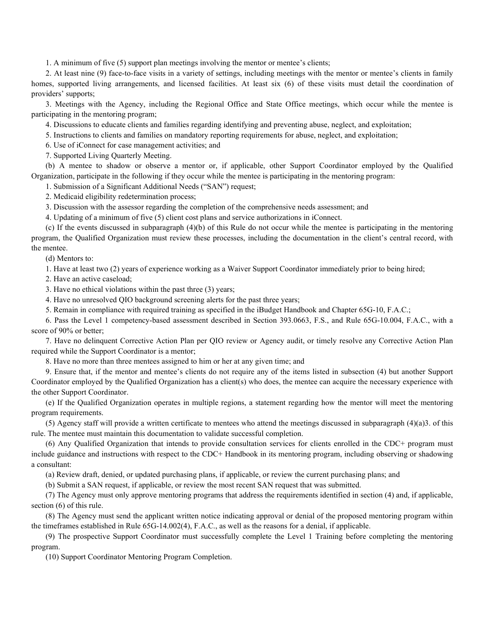1. A minimum of five (5) support plan meetings involving the mentor or mentee's clients;

2. At least nine (9) face-to-face visits in a variety of settings, including meetings with the mentor or mentee's clients in family homes, supported living arrangements, and licensed facilities. At least six (6) of these visits must detail the coordination of providers' supports;

3. Meetings with the Agency, including the Regional Office and State Office meetings, which occur while the mentee is participating in the mentoring program;

4. Discussions to educate clients and families regarding identifying and preventing abuse, neglect, and exploitation;

5. Instructions to clients and families on mandatory reporting requirements for abuse, neglect, and exploitation;

6. Use of iConnect for case management activities; and

7. Supported Living Quarterly Meeting.

(b) A mentee to shadow or observe a mentor or, if applicable, other Support Coordinator employed by the Qualified Organization, participate in the following if they occur while the mentee is participating in the mentoring program:

1. Submission of a Significant Additional Needs ("SAN") request;

2. Medicaid eligibility redetermination process;

3. Discussion with the assessor regarding the completion of the comprehensive needs assessment; and

4. Updating of a minimum of five (5) client cost plans and service authorizations in iConnect.

(c) If the events discussed in subparagraph (4)(b) of this Rule do not occur while the mentee is participating in the mentoring program, the Qualified Organization must review these processes, including the documentation in the client's central record, with the mentee.

(d) Mentors to:

1. Have at least two (2) years of experience working as a Waiver Support Coordinator immediately prior to being hired;

2. Have an active caseload;

3. Have no ethical violations within the past three (3) years;

4. Have no unresolved QIO background screening alerts for the past three years;

5. Remain in compliance with required training as specified in the iBudget Handbook and Chapter 65G-10, F.A.C.;

6. Pass the Level 1 competency-based assessment described in Section 393.0663, F.S., and Rule 65G-10.004, F.A.C., with a score of 90% or better;

7. Have no delinquent Corrective Action Plan per QIO review or Agency audit, or timely resolve any Corrective Action Plan required while the Support Coordinator is a mentor;

8. Have no more than three mentees assigned to him or her at any given time; and

9. Ensure that, if the mentor and mentee's clients do not require any of the items listed in subsection (4) but another Support Coordinator employed by the Qualified Organization has a client(s) who does, the mentee can acquire the necessary experience with the other Support Coordinator.

(e) If the Qualified Organization operates in multiple regions, a statement regarding how the mentor will meet the mentoring program requirements.

(5) Agency staff will provide a written certificate to mentees who attend the meetings discussed in subparagraph  $(4)(a)3$ . of this rule. The mentee must maintain this documentation to validate successful completion.

(6) Any Qualified Organization that intends to provide consultation services for clients enrolled in the CDC+ program must include guidance and instructions with respect to the CDC+ Handbook in its mentoring program, including observing or shadowing a consultant:

(a) Review draft, denied, or updated purchasing plans, if applicable, or review the current purchasing plans; and

(b) Submit a SAN request, if applicable, or review the most recent SAN request that was submitted.

(7) The Agency must only approve mentoring programs that address the requirements identified in section (4) and, if applicable, section (6) of this rule.

(8) The Agency must send the applicant written notice indicating approval or denial of the proposed mentoring program within the timeframes established in Rule 65G-14.002(4), F.A.C., as well as the reasons for a denial, if applicable.

(9) The prospective Support Coordinator must successfully complete the Level 1 Training before completing the mentoring program.

(10) Support Coordinator Mentoring Program Completion.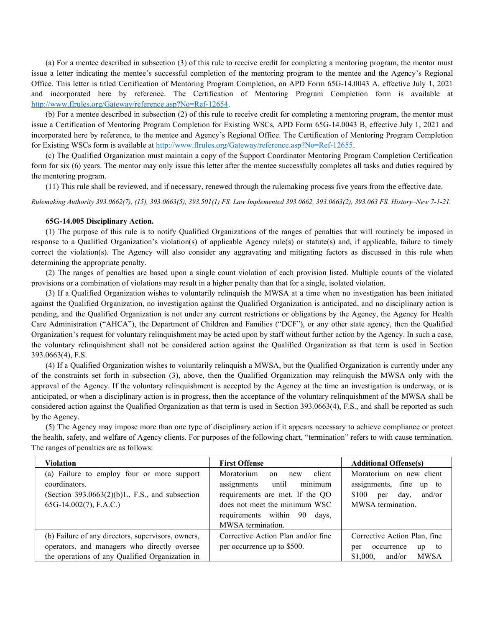(a) For a mentee described in subsection (3) of this rule to receive credit for completing a mentoring program, the mentor must issue a letter indicating the mentee's successful completion of the mentoring program to the mentee and the Agency's Regional Office. This letter is titled Certification of Mentoring Program Completion, on APD Form 65G-14.0043 A, effective July 1, 2021 and incorporated here by reference. The Certification of Mentoring Program Completion form is available at http://www.flrules.org/Gateway/reference.asp?No=Ref-12654.

(b) For a mentee described in subsection (2) of this rule to receive credit for completing a mentoring program, the mentor must issue a Certification of Mentoring Program Completion for Existing WSCs, APD Form 65G-14.0043 B, effective July 1, 2021 and incorporated here by reference, to the mentee and Agency's Regional Office. The Certification of Mentoring Program Completion for Existing WSCs form is available at http://www.flrules.org/Gateway/reference.asp?No=Ref-12655.

(c) The Qualified Organization must maintain a copy of the Support Coordinator Mentoring Program Completion Certification form for six (6) years. The mentor may only issue this letter after the mentee successfully completes all tasks and duties required by the mentoring program.

(11) This rule shall be reviewed, and if necessary, renewed through the rulemaking process five years from the effective date.

Rulemaking Authority 393.0662(7), (15), 393.0663(5), 393.501(1) FS. Law Implemented 393.0662, 393.0663(2), 393.063 FS. History–New 7-1-21.

### 65G-14.005 Disciplinary Action.

(1) The purpose of this rule is to notify Qualified Organizations of the ranges of penalties that will routinely be imposed in response to a Qualified Organization's violation(s) of applicable Agency rule(s) or statute(s) and, if applicable, failure to timely correct the violation(s). The Agency will also consider any aggravating and mitigating factors as discussed in this rule when determining the appropriate penalty.

(2) The ranges of penalties are based upon a single count violation of each provision listed. Multiple counts of the violated provisions or a combination of violations may result in a higher penalty than that for a single, isolated violation.

(3) If a Qualified Organization wishes to voluntarily relinquish the MWSA at a time when no investigation has been initiated against the Qualified Organization, no investigation against the Qualified Organization is anticipated, and no disciplinary action is pending, and the Qualified Organization is not under any current restrictions or obligations by the Agency, the Agency for Health Care Administration ("AHCA"), the Department of Children and Families ("DCF"), or any other state agency, then the Qualified Organization's request for voluntary relinquishment may be acted upon by staff without further action by the Agency. In such a case, the voluntary relinquishment shall not be considered action against the Qualified Organization as that term is used in Section 393.0663(4), F.S.

(4) If a Qualified Organization wishes to voluntarily relinquish a MWSA, but the Qualified Organization is currently under any of the constraints set forth in subsection (3), above, then the Qualified Organization may relinquish the MWSA only with the approval of the Agency. If the voluntary relinquishment is accepted by the Agency at the time an investigation is underway, or is anticipated, or when a disciplinary action is in progress, then the acceptance of the voluntary relinquishment of the MWSA shall be considered action against the Qualified Organization as that term is used in Section 393.0663(4), F.S., and shall be reported as such by the Agency.

(5) The Agency may impose more than one type of disciplinary action if it appears necessary to achieve compliance or protect the health, safety, and welfare of Agency clients. For purposes of the following chart, "termination" refers to with cause termination. The ranges of penalties are as follows:

| Violation                                                                                                                                      | <b>First Offense</b>                                                                                                                                                                          | <b>Additional Offense(s)</b>                                                                                  |
|------------------------------------------------------------------------------------------------------------------------------------------------|-----------------------------------------------------------------------------------------------------------------------------------------------------------------------------------------------|---------------------------------------------------------------------------------------------------------------|
| (a) Failure to employ four or more support<br>coordinators.<br>(Section $393.0663(2)(b)1$ ., F.S., and subsection<br>$65G-14.002(7)$ , F.A.C.) | Moratorium<br>client<br>on<br>new<br>minimum<br>assignments until<br>requirements are met. If the QO<br>does not meet the minimum WSC<br>requirements within 90<br>days,<br>MWSA termination. | Moratorium on new client<br>assignments, fine<br>up to<br>and/or<br>\$100<br>day,<br>per<br>MWSA termination. |
| (b) Failure of any directors, supervisors, owners,                                                                                             | Corrective Action Plan and/or fine                                                                                                                                                            | Corrective Action Plan, fine                                                                                  |
| operators, and managers who directly oversee                                                                                                   | per occurrence up to \$500.                                                                                                                                                                   | to<br>occurrence<br>up<br>per                                                                                 |
| the operations of any Qualified Organization in                                                                                                |                                                                                                                                                                                               | <b>MWSA</b><br>\$1,000.<br>and/or                                                                             |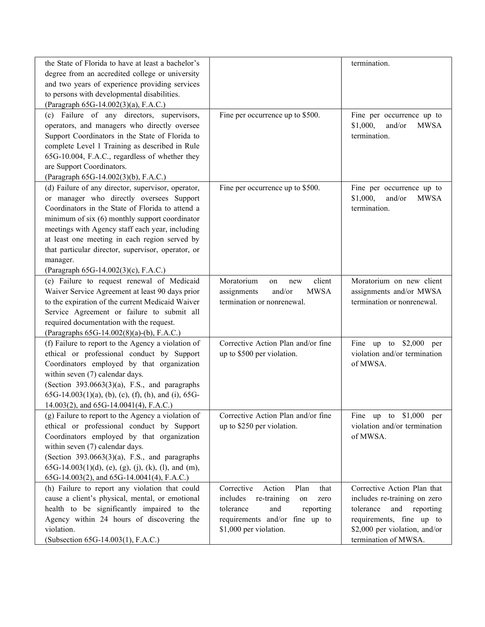| the State of Florida to have at least a bachelor's<br>degree from an accredited college or university<br>and two years of experience providing services<br>to persons with developmental disabilities.<br>(Paragraph 65G-14.002(3)(a), F.A.C.)                                                                                                                                                                     |                                                                                                                                                                            | termination.                                                                                                                                                                   |
|--------------------------------------------------------------------------------------------------------------------------------------------------------------------------------------------------------------------------------------------------------------------------------------------------------------------------------------------------------------------------------------------------------------------|----------------------------------------------------------------------------------------------------------------------------------------------------------------------------|--------------------------------------------------------------------------------------------------------------------------------------------------------------------------------|
| (c) Failure of any directors, supervisors,<br>operators, and managers who directly oversee<br>Support Coordinators in the State of Florida to<br>complete Level 1 Training as described in Rule<br>65G-10.004, F.A.C., regardless of whether they<br>are Support Coordinators.<br>(Paragraph 65G-14.002(3)(b), F.A.C.)                                                                                             | Fine per occurrence up to \$500.                                                                                                                                           | Fine per occurrence up to<br>\$1,000,<br>and/or<br><b>MWSA</b><br>termination.                                                                                                 |
| (d) Failure of any director, supervisor, operator,<br>or manager who directly oversees Support<br>Coordinators in the State of Florida to attend a<br>minimum of six (6) monthly support coordinator<br>meetings with Agency staff each year, including<br>at least one meeting in each region served by<br>that particular director, supervisor, operator, or<br>manager.<br>(Paragraph 65G-14.002(3)(c), F.A.C.) | Fine per occurrence up to \$500.                                                                                                                                           | Fine per occurrence up to<br>\$1,000,<br>and/or<br><b>MWSA</b><br>termination.                                                                                                 |
| (e) Failure to request renewal of Medicaid<br>Waiver Service Agreement at least 90 days prior<br>to the expiration of the current Medicaid Waiver<br>Service Agreement or failure to submit all<br>required documentation with the request.<br>(Paragraphs 65G-14.002(8)(a)-(b), F.A.C.)                                                                                                                           | client<br>Moratorium<br>on<br>new<br>and/or<br>assignments<br><b>MWSA</b><br>termination or nonrenewal.                                                                    | Moratorium on new client<br>assignments and/or MWSA<br>termination or nonrenewal.                                                                                              |
| (f) Failure to report to the Agency a violation of<br>ethical or professional conduct by Support<br>Coordinators employed by that organization<br>within seven (7) calendar days.<br>(Section $393.0663(3)(a)$ , F.S., and paragraphs<br>$65G-14.003(1)(a)$ , (b), (c), (f), (h), and (i), 65G-<br>14.003(2), and 65G-14.0041(4), F.A.C.)                                                                          | Corrective Action Plan and/or fine<br>up to \$500 per violation.                                                                                                           | Fine up to $$2,000$<br>per<br>violation and/or termination<br>of MWSA.                                                                                                         |
| (g) Failure to report to the Agency a violation of<br>ethical or professional conduct by Support<br>Coordinators employed by that organization<br>within seven (7) calendar days.<br>(Section $393.0663(3)(a)$ , F.S., and paragraphs<br>$65G-14.003(1)(d)$ , (e), (g), (j), (k), (l), and (m),<br>65G-14.003(2), and 65G-14.0041(4), F.A.C.)                                                                      | Corrective Action Plan and/or fine<br>up to \$250 per violation.                                                                                                           | Fine up to \$1,000 per<br>violation and/or termination<br>of MWSA.                                                                                                             |
| (h) Failure to report any violation that could<br>cause a client's physical, mental, or emotional<br>health to be significantly impaired to the<br>Agency within 24 hours of discovering the<br>violation.<br>(Subsection 65G-14.003(1), F.A.C.)                                                                                                                                                                   | Corrective<br>Action<br>Plan<br>that<br>re-training<br>includes<br>on<br>zero<br>tolerance<br>and<br>reporting<br>requirements and/or fine up to<br>\$1,000 per violation. | Corrective Action Plan that<br>includes re-training on zero<br>tolerance<br>and reporting<br>requirements, fine up to<br>\$2,000 per violation, and/or<br>termination of MWSA. |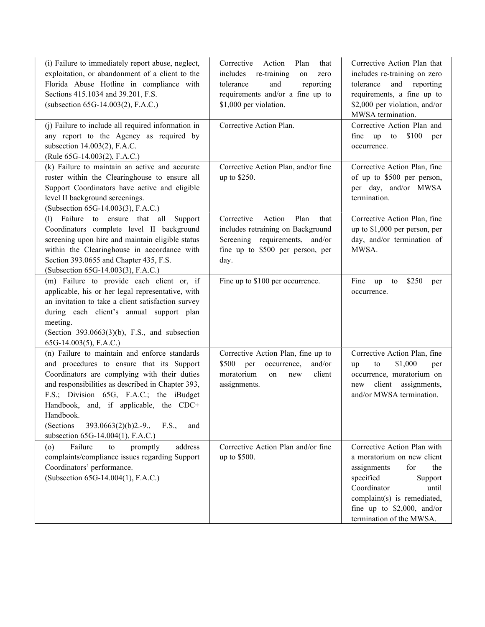| (i) Failure to immediately report abuse, neglect,<br>exploitation, or abandonment of a client to the<br>Florida Abuse Hotline in compliance with<br>Sections 415.1034 and 39.201, F.S.<br>(subsection 65G-14.003(2), F.A.C.)                                                                                                                                                                  | Corrective<br>Action<br>Plan<br>that<br>includes re-training<br>on<br>zero<br>and<br>reporting<br>tolerance<br>requirements and/or a fine up to<br>\$1,000 per violation. | Corrective Action Plan that<br>includes re-training on zero<br>tolerance<br>and<br>reporting<br>requirements, a fine up to<br>\$2,000 per violation, and/or<br>MWSA termination.                                                  |
|-----------------------------------------------------------------------------------------------------------------------------------------------------------------------------------------------------------------------------------------------------------------------------------------------------------------------------------------------------------------------------------------------|---------------------------------------------------------------------------------------------------------------------------------------------------------------------------|-----------------------------------------------------------------------------------------------------------------------------------------------------------------------------------------------------------------------------------|
| (j) Failure to include all required information in<br>any report to the Agency as required by<br>subsection 14.003(2), F.A.C.<br>(Rule 65G-14.003(2), F.A.C.)                                                                                                                                                                                                                                 | Corrective Action Plan.                                                                                                                                                   | Corrective Action Plan and<br>\$100<br>fine up to<br>per<br>occurrence.                                                                                                                                                           |
| (k) Failure to maintain an active and accurate<br>roster within the Clearinghouse to ensure all<br>Support Coordinators have active and eligible<br>level II background screenings.<br>(Subsection 65G-14.003(3), F.A.C.)                                                                                                                                                                     | Corrective Action Plan, and/or fine<br>up to \$250.                                                                                                                       | Corrective Action Plan, fine<br>of up to \$500 per person,<br>per day, and/or MWSA<br>termination.                                                                                                                                |
| Failure to<br>ensure that all<br>Support<br>(1)<br>Coordinators complete level II background<br>screening upon hire and maintain eligible status<br>within the Clearinghouse in accordance with<br>Section 393.0655 and Chapter 435, F.S.<br>(Subsection 65G-14.003(3), F.A.C.)                                                                                                               | Corrective<br>Action<br>Plan<br>that<br>includes retraining on Background<br>Screening requirements, and/or<br>fine up to \$500 per person, per<br>day.                   | Corrective Action Plan, fine<br>up to $$1,000$ per person, per<br>day, and/or termination of<br>MWSA.                                                                                                                             |
| (m) Failure to provide each client or, if<br>applicable, his or her legal representative, with<br>an invitation to take a client satisfaction survey<br>during each client's annual support plan<br>meeting.<br>(Section $393.0663(3)(b)$ , F.S., and subsection<br>$65G-14.003(5)$ , F.A.C.)                                                                                                 | Fine up to \$100 per occurrence.                                                                                                                                          | Fine<br>\$250<br>up<br>to<br>per<br>occurrence.                                                                                                                                                                                   |
| (n) Failure to maintain and enforce standards<br>and procedures to ensure that its Support<br>Coordinators are complying with their duties<br>and responsibilities as described in Chapter 393,<br>F.S.; Division 65G, F.A.C.; the iBudget<br>Handbook, and, if applicable, the CDC+<br>Handbook.<br>(Sections<br>$393.0663(2)(b)2.-9.,$<br>F.S.,<br>and<br>subsection 65G-14.004(1), F.A.C.) | Corrective Action Plan, fine up to<br>\$500<br>per occurrence,<br>and/or<br>moratorium<br>client<br>on<br>new<br>assignments.                                             | Corrective Action Plan, fine<br>\$1,000<br>to<br>up<br>per<br>occurrence, moratorium on<br>client assignments,<br>new<br>and/or MWSA termination.                                                                                 |
| Failure<br>address<br>promptly<br>$\circ$<br>to<br>complaints/compliance issues regarding Support<br>Coordinators' performance.<br>(Subsection 65G-14.004(1), F.A.C.)                                                                                                                                                                                                                         | Corrective Action Plan and/or fine<br>up to \$500.                                                                                                                        | Corrective Action Plan with<br>a moratorium on new client<br>the<br>assignments<br>for<br>specified<br>Support<br>Coordinator<br>until<br>complaint(s) is remediated,<br>fine up to $$2,000$ , and/or<br>termination of the MWSA. |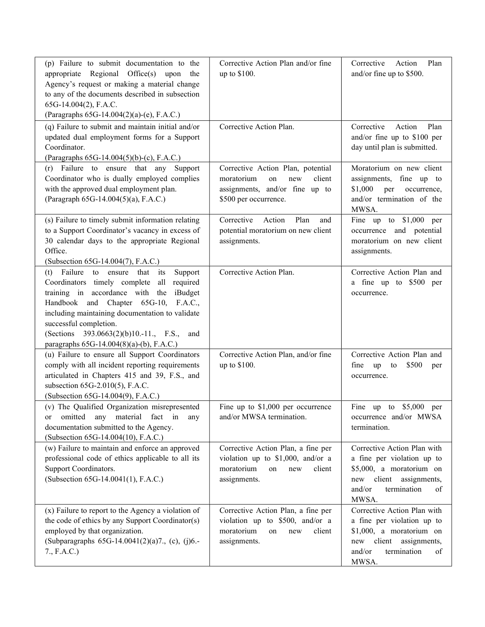| (p) Failure to submit documentation to the<br>appropriate Regional Office(s) upon the<br>Agency's request or making a material change<br>to any of the documents described in subsection<br>65G-14.004(2), F.A.C.<br>(Paragraphs 65G-14.004(2)(a)-(e), F.A.C.)                                                                                                     | Corrective Action Plan and/or fine<br>up to \$100.                                                                                | Plan<br>Corrective<br>Action<br>and/or fine up to \$500.                                                                                                       |
|--------------------------------------------------------------------------------------------------------------------------------------------------------------------------------------------------------------------------------------------------------------------------------------------------------------------------------------------------------------------|-----------------------------------------------------------------------------------------------------------------------------------|----------------------------------------------------------------------------------------------------------------------------------------------------------------|
| $(q)$ Failure to submit and maintain initial and/or<br>updated dual employment forms for a Support<br>Coordinator.<br>(Paragraphs 65G-14.004(5)(b)-(c), F.A.C.)                                                                                                                                                                                                    | Corrective Action Plan.                                                                                                           | Corrective<br>Action<br>Plan<br>and/or fine up to \$100 per<br>day until plan is submitted.                                                                    |
| (r) Failure to ensure that any Support<br>Coordinator who is dually employed complies<br>with the approved dual employment plan.<br>(Paragraph 65G-14.004(5)(a), F.A.C.)                                                                                                                                                                                           | Corrective Action Plan, potential<br>moratorium<br>client<br>on<br>new<br>assignments, and/or fine up to<br>\$500 per occurrence. | Moratorium on new client<br>assignments, fine up to<br>\$1,000<br>per<br>occurrence,<br>and/or termination of the<br>MWSA.                                     |
| (s) Failure to timely submit information relating<br>to a Support Coordinator's vacancy in excess of<br>30 calendar days to the appropriate Regional<br>Office.<br>(Subsection 65G-14.004(7), F.A.C.)                                                                                                                                                              | Plan<br>Corrective<br>Action<br>and<br>potential moratorium on new client<br>assignments.                                         | Fine up to $$1,000$ per<br>occurrence and potential<br>moratorium on new client<br>assignments.                                                                |
| Failure to<br>ensure<br>that<br>its<br>Support<br>(t)<br>Coordinators timely complete<br>required<br>all<br>training in accordance with the iBudget<br>Handbook and Chapter 65G-10, F.A.C.,<br>including maintaining documentation to validate<br>successful completion.<br>(Sections 393.0663(2)(b)10.-11., F.S., and<br>paragraphs 65G-14.004(8)(a)-(b), F.A.C.) | Corrective Action Plan.                                                                                                           | Corrective Action Plan and<br>a fine up to \$500 per<br>occurrence.                                                                                            |
| (u) Failure to ensure all Support Coordinators<br>comply with all incident reporting requirements<br>articulated in Chapters 415 and 39, F.S., and<br>subsection 65G-2.010(5), F.A.C.<br>(Subsection 65G-14.004(9), F.A.C.)                                                                                                                                        | Corrective Action Plan, and/or fine<br>up to \$100.                                                                               | Corrective Action Plan and<br>fine<br>\$500<br>up<br>to<br>per<br>occurrence.                                                                                  |
| (v) The Qualified Organization misrepresented<br>any material<br>fact<br>omitted<br>in<br>any<br>or<br>documentation submitted to the Agency.<br>(Subsection 65G-14.004(10), F.A.C.)                                                                                                                                                                               | Fine up to $$1,000$ per occurrence<br>and/or MWSA termination.                                                                    | Fine up to $$5,000$<br>per<br>occurrence and/or MWSA<br>termination.                                                                                           |
| (w) Failure to maintain and enforce an approved<br>professional code of ethics applicable to all its<br>Support Coordinators.<br>(Subsection 65G-14.0041(1), F.A.C.)                                                                                                                                                                                               | Corrective Action Plan, a fine per<br>violation up to \$1,000, and/or a<br>moratorium<br>client<br>on<br>new<br>assignments.      | Corrective Action Plan with<br>a fine per violation up to<br>\$5,000, a moratorium on<br>client assignments,<br>new<br>and/or<br>termination<br>of<br>MWSA.    |
| (x) Failure to report to the Agency a violation of<br>the code of ethics by any Support Coordinator(s)<br>employed by that organization.<br>(Subparagraphs 65G-14.0041(2)(a)7., (c), (j)6.-<br>7., F.A.C.)                                                                                                                                                         | Corrective Action Plan, a fine per<br>violation up to \$500, and/or a<br>moratorium<br>client<br>on<br>new<br>assignments.        | Corrective Action Plan with<br>a fine per violation up to<br>\$1,000, a moratorium on<br>client<br>assignments,<br>new<br>and/or<br>termination<br>of<br>MWSA. |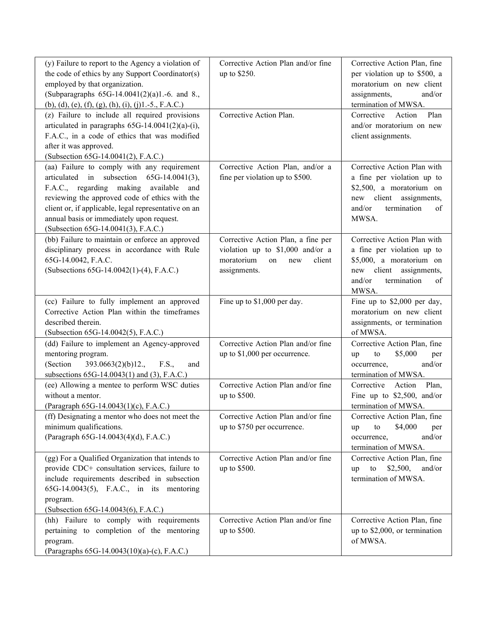| (y) Failure to report to the Agency a violation of<br>the code of ethics by any Support Coordinator(s)<br>employed by that organization.<br>(Subparagraphs 65G-14.0041(2)(a)1.-6. and 8.,<br>$(b)$ , (d), (e), (f), (g), (h), (i), (j)1.-5., F.A.C.)<br>(z) Failure to include all required provisions<br>articulated in paragraphs $65G-14.0041(2)(a)-(i)$ ,<br>F.A.C., in a code of ethics that was modified<br>after it was approved.<br>(Subsection 65G-14.0041(2), F.A.C.) | Corrective Action Plan and/or fine<br>up to \$250.<br>Corrective Action Plan.                                               | Corrective Action Plan, fine<br>per violation up to \$500, a<br>moratorium on new client<br>assignments,<br>and/or<br>termination of MWSA.<br>Plan<br>Corrective<br>Action<br>and/or moratorium on new<br>client assignments. |
|---------------------------------------------------------------------------------------------------------------------------------------------------------------------------------------------------------------------------------------------------------------------------------------------------------------------------------------------------------------------------------------------------------------------------------------------------------------------------------|-----------------------------------------------------------------------------------------------------------------------------|-------------------------------------------------------------------------------------------------------------------------------------------------------------------------------------------------------------------------------|
| (aa) Failure to comply with any requirement<br>articulated in subsection<br>$65G-14.0041(3)$ ,<br>F.A.C., regarding making available<br>and<br>reviewing the approved code of ethics with the<br>client or, if applicable, legal representative on an<br>annual basis or immediately upon request.<br>(Subsection 65G-14.0041(3), F.A.C.)                                                                                                                                       | Corrective Action Plan, and/or a<br>fine per violation up to \$500.                                                         | Corrective Action Plan with<br>a fine per violation up to<br>\$2,500, a moratorium on<br>new client assignments,<br>and/or<br>termination<br>of<br>MWSA.                                                                      |
| (bb) Failure to maintain or enforce an approved<br>disciplinary process in accordance with Rule<br>65G-14.0042, F.A.C.<br>(Subsections 65G-14.0042(1)-(4), F.A.C.)                                                                                                                                                                                                                                                                                                              | Corrective Action Plan, a fine per<br>violation up to \$1,000 and/or a<br>moratorium<br>client<br>on<br>new<br>assignments. | Corrective Action Plan with<br>a fine per violation up to<br>\$5,000, a moratorium on<br>new client<br>assignments,<br>termination<br>and/or<br>of<br>MWSA.                                                                   |
| (cc) Failure to fully implement an approved<br>Corrective Action Plan within the timeframes<br>described therein.<br>(Subsection 65G-14.0042(5), F.A.C.)                                                                                                                                                                                                                                                                                                                        | Fine up to \$1,000 per day.                                                                                                 | Fine up to \$2,000 per day,<br>moratorium on new client<br>assignments, or termination<br>of MWSA.                                                                                                                            |
| (dd) Failure to implement an Agency-approved<br>mentoring program.<br>393.0663(2)(b)12.<br>(Section)<br>F.S.,<br>and<br>subsections 65G-14.0043(1) and (3), F.A.C.)                                                                                                                                                                                                                                                                                                             | Corrective Action Plan and/or fine<br>up to \$1,000 per occurrence.                                                         | Corrective Action Plan, fine<br>\$5,000<br>to<br>up<br>per<br>and/or<br>occurrence,<br>termination of MWSA.                                                                                                                   |
| (ee) Allowing a mentee to perform WSC duties<br>without a mentor.<br>(Paragraph 65G-14.0043(1)(c), F.A.C.)                                                                                                                                                                                                                                                                                                                                                                      | Corrective Action Plan and/or fine<br>up to \$500.                                                                          | Corrective<br>Plan,<br>Action<br>Fine up to $$2,500$ , and/or<br>termination of MWSA.                                                                                                                                         |
| (ff) Designating a mentor who does not meet the<br>minimum qualifications.<br>(Paragraph 65G-14.0043(4)(d), F.A.C.)                                                                                                                                                                                                                                                                                                                                                             | Corrective Action Plan and/or fine<br>up to \$750 per occurrence.                                                           | Corrective Action Plan, fine<br>\$4,000<br>to<br>per<br>up<br>and/or<br>occurrence,<br>termination of MWSA.                                                                                                                   |
| (gg) For a Qualified Organization that intends to<br>provide CDC+ consultation services, failure to<br>include requirements described in subsection<br>65G-14.0043(5), F.A.C., in its mentoring<br>program.<br>(Subsection 65G-14.0043(6), F.A.C.)                                                                                                                                                                                                                              | Corrective Action Plan and/or fine<br>up to \$500.                                                                          | Corrective Action Plan, fine<br>\$2,500,<br>to<br>and/or<br>up<br>termination of MWSA.                                                                                                                                        |
| (hh) Failure to comply with requirements<br>pertaining to completion of the mentoring<br>program.<br>(Paragraphs 65G-14.0043(10)(a)-(c), F.A.C.)                                                                                                                                                                                                                                                                                                                                | Corrective Action Plan and/or fine<br>up to \$500.                                                                          | Corrective Action Plan, fine<br>up to \$2,000, or termination<br>of MWSA.                                                                                                                                                     |